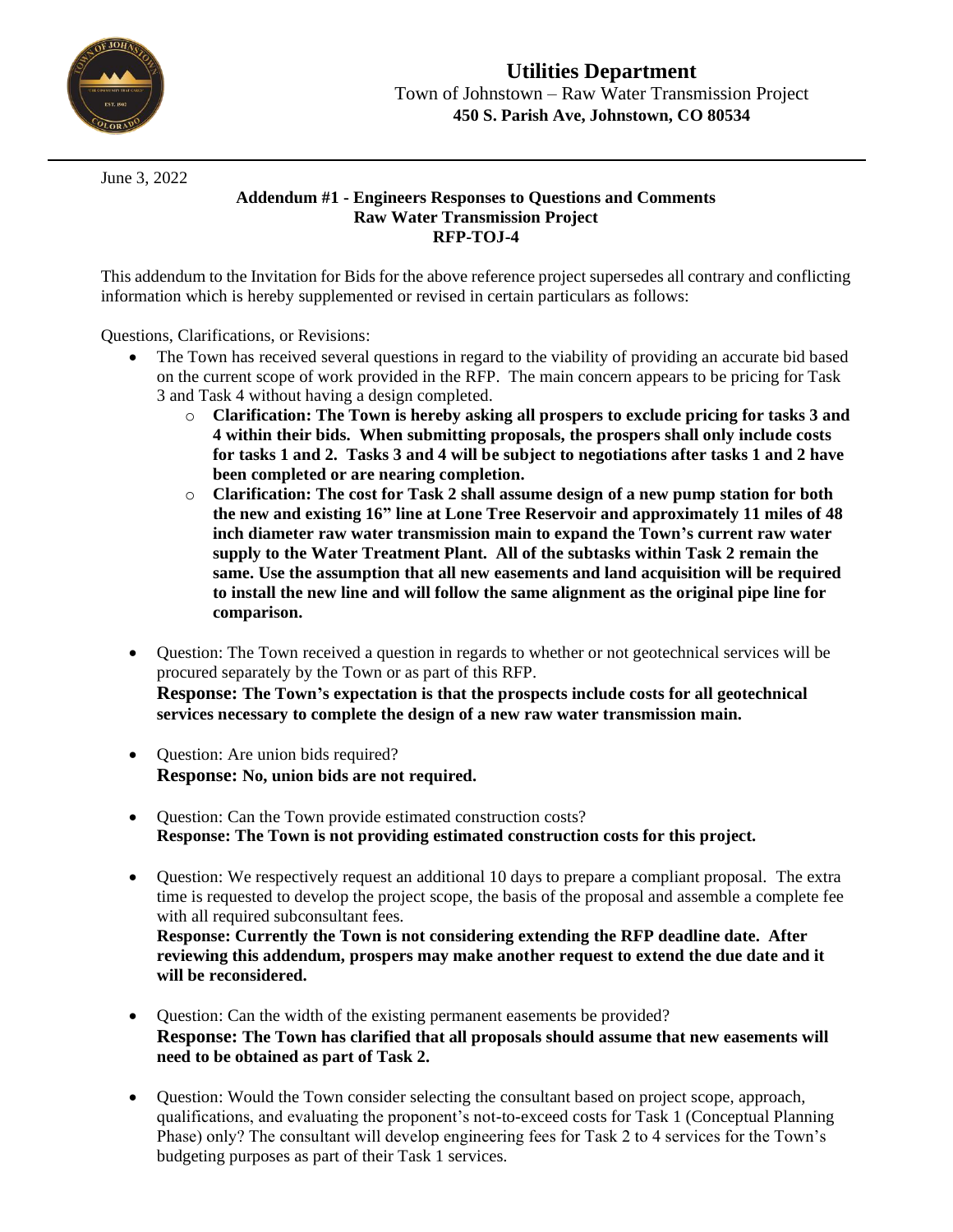

June 3, 2022

## **Addendum #1 - Engineers Responses to Questions and Comments Raw Water Transmission Project RFP-TOJ-4**

This addendum to the Invitation for Bids for the above reference project supersedes all contrary and conflicting information which is hereby supplemented or revised in certain particulars as follows:

Questions, Clarifications, or Revisions:

- The Town has received several questions in regard to the viability of providing an accurate bid based on the current scope of work provided in the RFP. The main concern appears to be pricing for Task 3 and Task 4 without having a design completed.
	- o **Clarification: The Town is hereby asking all prospers to exclude pricing for tasks 3 and 4 within their bids. When submitting proposals, the prospers shall only include costs for tasks 1 and 2. Tasks 3 and 4 will be subject to negotiations after tasks 1 and 2 have been completed or are nearing completion.**
	- o **Clarification: The cost for Task 2 shall assume design of a new pump station for both the new and existing 16" line at Lone Tree Reservoir and approximately 11 miles of 48 inch diameter raw water transmission main to expand the Town's current raw water supply to the Water Treatment Plant. All of the subtasks within Task 2 remain the same. Use the assumption that all new easements and land acquisition will be required to install the new line and will follow the same alignment as the original pipe line for comparison.**
- Question: The Town received a question in regards to whether or not geotechnical services will be procured separately by the Town or as part of this RFP. **Response: The Town's expectation is that the prospects include costs for all geotechnical services necessary to complete the design of a new raw water transmission main.**
- Question: Are union bids required? **Response: No, union bids are not required.**
- Ouestion: Can the Town provide estimated construction costs? **Response: The Town is not providing estimated construction costs for this project.**
- Question: We respectively request an additional 10 days to prepare a compliant proposal. The extra time is requested to develop the project scope, the basis of the proposal and assemble a complete fee with all required subconsultant fees. **Response: Currently the Town is not considering extending the RFP deadline date. After**

**reviewing this addendum, prospers may make another request to extend the due date and it will be reconsidered.**

- Question: Can the width of the existing permanent easements be provided? **Response: The Town has clarified that all proposals should assume that new easements will need to be obtained as part of Task 2.**
- Question: Would the Town consider selecting the consultant based on project scope, approach, qualifications, and evaluating the proponent's not-to-exceed costs for Task 1 (Conceptual Planning Phase) only? The consultant will develop engineering fees for Task 2 to 4 services for the Town's budgeting purposes as part of their Task 1 services.